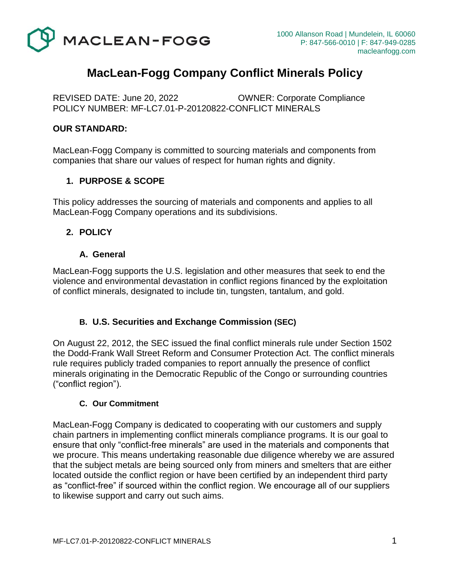

# **MacLean-Fogg Company Conflict Minerals Policy**

REVISED DATE: June 20, 2022 OWNER: Corporate Compliance POLICY NUMBER: MF-LC7.01-P-20120822-CONFLICT MINERALS

#### **OUR STANDARD:**

MacLean-Fogg Company is committed to sourcing materials and components from companies that share our values of respect for human rights and dignity.

### **1. PURPOSE & SCOPE**

This policy addresses the sourcing of materials and components and applies to all MacLean-Fogg Company operations and its subdivisions.

### **2. POLICY**

#### **A. General**

MacLean-Fogg supports the U.S. legislation and other measures that seek to end the violence and environmental devastation in conflict regions financed by the exploitation of conflict minerals, designated to include tin, tungsten, tantalum, and gold.

#### **B. U.S. Securities and Exchange Commission (SEC)**

On August 22, 2012, the SEC issued the final conflict minerals rule under Section 1502 the Dodd-Frank Wall Street Reform and Consumer Protection Act. The conflict minerals rule requires publicly traded companies to report annually the presence of conflict minerals originating in the Democratic Republic of the Congo or surrounding countries ("conflict region").

#### **C. Our Commitment**

MacLean-Fogg Company is dedicated to cooperating with our customers and supply chain partners in implementing conflict minerals compliance programs. It is our goal to ensure that only "conflict-free minerals" are used in the materials and components that we procure. This means undertaking reasonable due diligence whereby we are assured that the subject metals are being sourced only from miners and smelters that are either located outside the conflict region or have been certified by an independent third party as "conflict-free" if sourced within the conflict region. We encourage all of our suppliers to likewise support and carry out such aims.